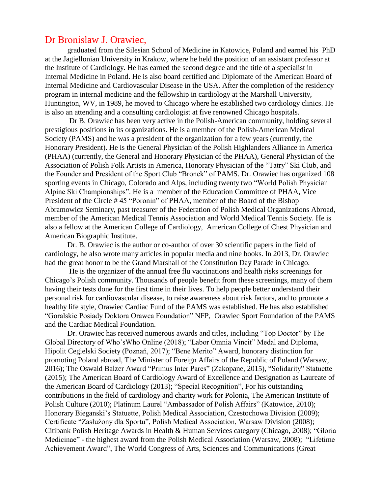## Dr Bronisław J. Orawiec,

graduated from the Silesian School of Medicine in Katowice, Poland and earned his PhD at the Jagiellonian University in Krakow, where he held the position of an assistant professor at the Institute of Cardiology. He has earned the second degree and the title of a specialist in Internal Medicine in Poland. He is also board certified and Diplomate of the American Board of Internal Medicine and Cardiovascular Disease in the USA. After the completion of the residency program in internal medicine and the fellowship in cardiology at the Marshall University, Huntington, WV, in 1989, he moved to Chicago where he established two cardiology clinics. He is also an attending and a consulting cardiologist at five renowned Chicago hospitals.

Dr B. Orawiec has been very active in the Polish-American community, holding several prestigious positions in its organizations. He is a member of the Polish-American Medical Society (PAMS) and he was a president of the organization for a few years (currently, the Honorary President). He is the General Physician of the Polish Highlanders Alliance in America (PHAA) (currently, the General and Honorary Physician of the PHAA), General Physician of the Association of Polish Folk Artists in America, Honorary Physician of the "Tatry" Ski Club, and the Founder and President of the Sport Club "Bronek" of PAMS. Dr. Orawiec has organized 108 sporting events in Chicago, Colorado and Alps, including twenty two "World Polish Physician Alpine Ski Championships". He is a member of the Education Committee of PHAA, Vice President of the Circle # 45 "Poronin" of PHAA, member of the Board of the Bishop Abramowicz Seminary, past treasurer of the Federation of Polish Medical Organizations Abroad, member of the American Medical Tennis Association and World Medical Tennis Society. He is also a fellow at the American College of Cardiology, American College of Chest Physician and American Biographic Institute.

Dr. B. Orawiec is the author or co-author of over 30 scientific papers in the field of cardiology, he also wrote many articles in popular media and nine books. In 2013, Dr. Orawiec had the great honor to be the Grand Marshall of the Constitution Day Parade in Chicago.

He is the organizer of the annual free flu vaccinations and health risks screenings for Chicago's Polish community. Thousands of people benefit from these screenings, many of them having their tests done for the first time in their lives. To help people better understand their personal risk for cardiovascular disease, to raise awareness about risk factors, and to promote a healthy life style, Orawiec Cardiac Fund of the PAMS was established. He has also established "Goralskie Posiady Doktora Orawca Foundation" NFP, Orawiec Sport Foundation of the PAMS and the Cardiac Medical Foundation.

 Dr. Orawiec has received numerous awards and titles, including "Top Doctor" by The Global Directory of Who'sWho Online (2018); "Labor Omnia Vincit" Medal and Diploma, Hipolit Cegielski Society (Poznań, 2017); "Bene Merito" Award, honorary distinction for promoting Poland abroad, The Minister of Foreign Affairs of the Republic of Poland (Warsaw, 2016); The Oswald Balzer Award "Primus Inter Pares" (Zakopane, 2015), "Solidarity" Statuette (2015); The American Board of Cardiology Award of Excellence and Designation as Laureate of the American Board of Cardiology (2013); "Special Recognition", For his outstanding contributions in the field of cardiology and charity work for Polonia, The American Institute of Polish Culture (2010); Platinum Laurel "Ambassador of Polish Affairs" (Katowice, 2010); Honorary Bieganski's Statuette, Polish Medical Association, Czestochowa Division (2009); Certificate "Zasłużony dla Sportu", Polish Medical Association, Warsaw Division (2008); Citibank Polish Heritage Awards in Health & Human Services category (Chicago, 2008); "Gloria Medicinae" - the highest award from the Polish Medical Association (Warsaw, 2008); "Lifetime Achievement Award", The World Congress of Arts, Sciences and Communications (Great